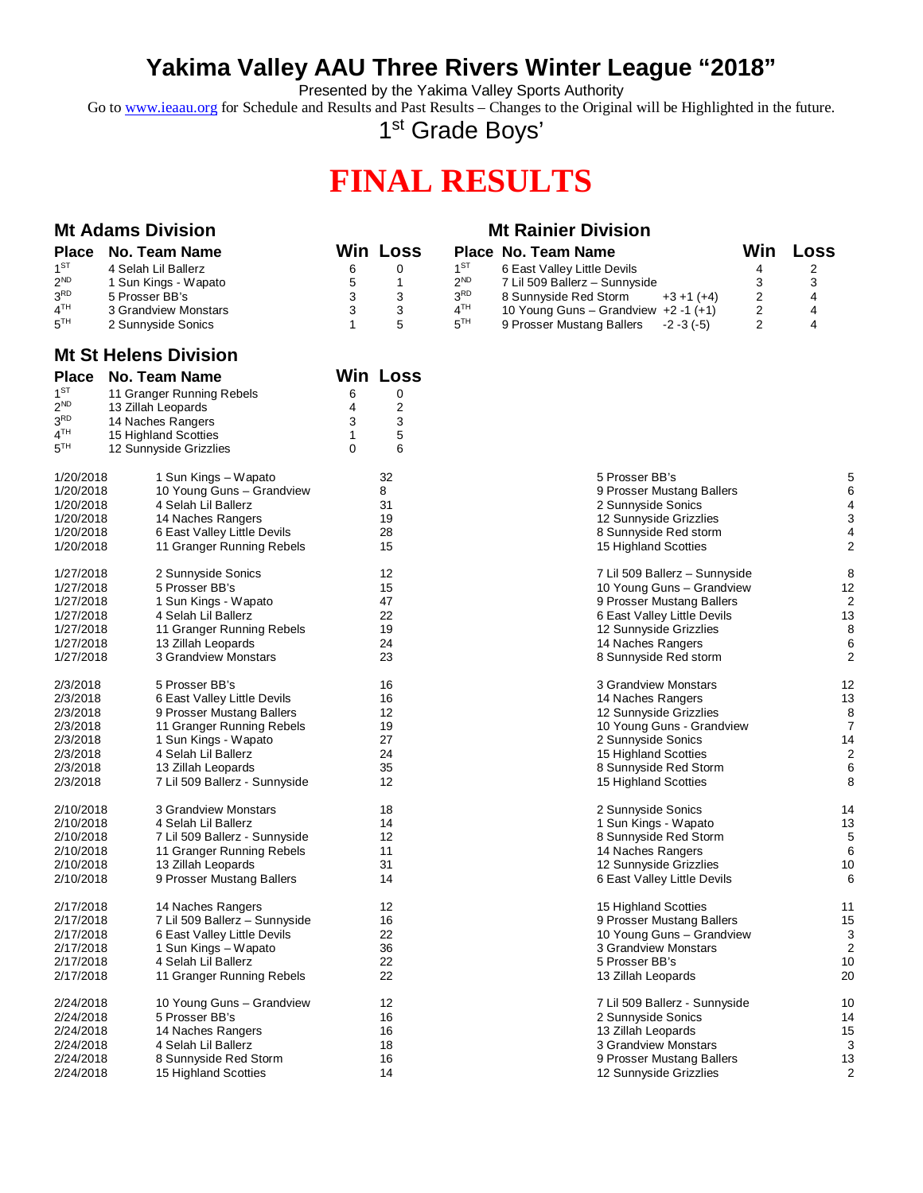## **Yakima Valley AAU Three Rivers Winter League "2018"**

Presented by the Yakima Valley Sports Authority

Go to [www.ieaau.org](http://www.ieaau.org) for Schedule and Results and Past Results – Changes to the Original will be Highlighted in the future.

1<sup>st</sup> Grade Boys'

## **FINAL RESULTS**

| <b>Mt Adams Division</b> |                      | <b>Mt Rainier Division</b> |                 |                 |                                        |     |      |
|--------------------------|----------------------|----------------------------|-----------------|-----------------|----------------------------------------|-----|------|
|                          | Place No. Team Name  |                            | <b>Win Loss</b> |                 | Place No. Team Name                    | Win | Loss |
| $1^{ST}$                 | 4 Selah Lil Ballerz  |                            |                 | $1^{\text{ST}}$ | 6 East Valley Little Devils            |     |      |
| $2^{ND}$                 | 1 Sun Kings - Wapato |                            |                 | $2^{ND}$        | 7 Lil 509 Ballerz - Sunnyside          |     |      |
| 3 <sup>RD</sup>          | 5 Prosser BB's       |                            |                 | 3 <sup>RD</sup> | 8 Sunnyside Red Storm<br>$+3+1(+4)$    |     |      |
| 4 <sup>TH</sup>          | 3 Grandview Monstars |                            |                 | $4^{\text{TH}}$ | 10 Young Guns – Grandview $+2 -1$ (+1) | 2   |      |
| $5^{TH}$                 | 2 Sunnyside Sonics   |                            |                 | $5^{TH}$        | 9 Prosser Mustang Ballers -2-3 (-5)    |     |      |

#### **Mt St Helens Division**

| <b>Place</b>    | No. Team Name                 | <b>Win Loss</b> |                |                               |                |
|-----------------|-------------------------------|-----------------|----------------|-------------------------------|----------------|
| 1 <sup>ST</sup> | 11 Granger Running Rebels     | 6               | 0              |                               |                |
| 2 <sup>ND</sup> | 13 Zillah Leopards            | 4               | $\overline{2}$ |                               |                |
| 3 <sup>RD</sup> | 14 Naches Rangers             | 3               | 3              |                               |                |
| 4 <sup>TH</sup> | 15 Highland Scotties          | 1               | 5              |                               |                |
| 5 <sup>TH</sup> | 12 Sunnyside Grizzlies        | 0               | 6              |                               |                |
| 1/20/2018       | 1 Sun Kings – Wapato          | 32              |                | 5 Prosser BB's                | 5              |
| 1/20/2018       | 10 Young Guns - Grandview     | 8               |                | 9 Prosser Mustang Ballers     | 6              |
| 1/20/2018       | 4 Selah Lil Ballerz           | 31              |                | 2 Sunnyside Sonics            | 4              |
| 1/20/2018       | 14 Naches Rangers             | 19              |                | 12 Sunnyside Grizzlies        | 3              |
| 1/20/2018       | 6 East Valley Little Devils   | 28              |                | 8 Sunnyside Red storm         | 4              |
| 1/20/2018       | 11 Granger Running Rebels     | 15              |                | 15 Highland Scotties          | $\overline{2}$ |
| 1/27/2018       | 2 Sunnyside Sonics            | 12              |                | 7 Lil 509 Ballerz - Sunnyside | 8              |
| 1/27/2018       | 5 Prosser BB's                | 15              |                | 10 Young Guns - Grandview     | 12             |
| 1/27/2018       | 1 Sun Kings - Wapato          | 47              |                | 9 Prosser Mustang Ballers     | $\overline{2}$ |
| 1/27/2018       | 4 Selah Lil Ballerz           | 22              |                | 6 East Valley Little Devils   | 13             |
| 1/27/2018       | 11 Granger Running Rebels     | 19              |                | 12 Sunnyside Grizzlies        | 8              |
| 1/27/2018       | 13 Zillah Leopards            | 24              |                | 14 Naches Rangers             | 6              |
| 1/27/2018       | 3 Grandview Monstars          | 23              |                | 8 Sunnyside Red storm         | $\overline{2}$ |
| 2/3/2018        | 5 Prosser BB's                | 16              |                | 3 Grandview Monstars          | 12             |
| 2/3/2018        | 6 East Valley Little Devils   | 16              |                | 14 Naches Rangers             | 13             |
| 2/3/2018        | 9 Prosser Mustang Ballers     | 12              |                | 12 Sunnyside Grizzlies        | 8              |
| 2/3/2018        | 11 Granger Running Rebels     | 19              |                | 10 Young Guns - Grandview     | $\overline{7}$ |
| 2/3/2018        | 1 Sun Kings - Wapato          | 27              |                | 2 Sunnyside Sonics            | 14             |
| 2/3/2018        | 4 Selah Lil Ballerz           | 24              |                | 15 Highland Scotties          | $\overline{a}$ |
| 2/3/2018        | 13 Zillah Leopards            | 35<br>12        |                | 8 Sunnyside Red Storm         | 6              |
| 2/3/2018        | 7 Lil 509 Ballerz - Sunnyside |                 |                | 15 Highland Scotties          | 8              |
| 2/10/2018       | 3 Grandview Monstars          | 18              |                | 2 Sunnyside Sonics            | 14             |
| 2/10/2018       | 4 Selah Lil Ballerz           | 14              |                | 1 Sun Kings - Wapato          | 13             |
| 2/10/2018       | 7 Lil 509 Ballerz - Sunnyside | 12              |                | 8 Sunnyside Red Storm         | 5              |
| 2/10/2018       | 11 Granger Running Rebels     | 11              |                | 14 Naches Rangers             | 6              |
| 2/10/2018       | 13 Zillah Leopards            | 31              |                | 12 Sunnyside Grizzlies        | 10             |
| 2/10/2018       | 9 Prosser Mustang Ballers     | 14              |                | 6 East Valley Little Devils   | 6              |
| 2/17/2018       | 14 Naches Rangers             | 12              |                | 15 Highland Scotties          | 11             |
| 2/17/2018       | 7 Lil 509 Ballerz - Sunnyside | 16              |                | 9 Prosser Mustang Ballers     | 15             |
| 2/17/2018       | 6 East Valley Little Devils   | 22              |                | 10 Young Guns - Grandview     | 3              |
| 2/17/2018       | 1 Sun Kings - Wapato          | 36              |                | 3 Grandview Monstars          | $\overline{2}$ |
| 2/17/2018       | 4 Selah Lil Ballerz           | 22              |                | 5 Prosser BB's                | 10             |
| 2/17/2018       | 11 Granger Running Rebels     | 22              |                | 13 Zillah Leopards            | 20             |
| 2/24/2018       | 10 Young Guns - Grandview     | 12              |                | 7 Lil 509 Ballerz - Sunnyside | 10             |
| 2/24/2018       | 5 Prosser BB's                | 16              |                | 2 Sunnyside Sonics            | 14             |
| 2/24/2018       | 14 Naches Rangers             | 16              |                | 13 Zillah Leopards            | 15             |
| 2/24/2018       | 4 Selah Lil Ballerz           | 18              |                | 3 Grandview Monstars          | 3              |
| 2/24/2018       | 8 Sunnyside Red Storm         | 16              |                | 9 Prosser Mustang Ballers     | 13             |
| 2/24/2018       | 15 Highland Scotties          | 14              |                | 12 Sunnyside Grizzlies        | $\overline{2}$ |

| 5 Prosser BB's                | 5              |
|-------------------------------|----------------|
| 9 Prosser Mustang Ballers     | 6              |
| 2 Sunnyside Sonics            | 4              |
| 12 Sunnyside Grizzlies        | 3              |
| 8 Sunnyside Red storm         | 4              |
| 15 Highland Scotties          | $\overline{2}$ |
| 7 Lil 509 Ballerz - Sunnyside | 8              |
| 10 Young Guns - Grandview     | 12             |
| 9 Prosser Mustang Ballers     | 2              |
| 6 East Valley Little Devils   | 13             |
| 12 Sunnyside Grizzlies        | 8              |
| 14 Naches Rangers             | 6              |
| 8 Sunnyside Red storm         | $\overline{2}$ |
| 3 Grandview Monstars          | 12             |
| 14 Naches Rangers             | 13             |
| 12 Sunnyside Grizzlies        | 8              |
| 10 Young Guns - Grandview     | $\overline{7}$ |
| 2 Sunnyside Sonics            | 14             |
| 15 Highland Scotties          | 2              |
| 8 Sunnyside Red Storm         | 6              |
| 15 Highland Scotties          | 8              |
| 2 Sunnyside Sonics            | 14             |
| 1 Sun Kings - Wapato          | 13             |
| 8 Sunnyside Red Storm         | 5              |
| 14 Naches Rangers             | 6              |
| 12 Sunnyside Grizzlies        | 10             |
| 6 East Valley Little Devils   | 6              |
| 15 Highland Scotties          | 11             |
| 9 Prosser Mustang Ballers     | 15             |
| 10 Young Guns - Grandview     | 3              |
| 3 Grandview Monstars          | $\overline{2}$ |
| 5 Prosser BB's                | 10             |
| 13 Zillah Leopards            | 20             |
| 7 Lil 509 Ballerz - Sunnyside | 10             |
| 2 Sunnyside Sonics            | 14             |
| 13 Zillah Leopards            | 15             |
| 3 Grandview Monstars          | 3              |
| 9 Prosser Mustang Ballers     | 13             |
| 12 Sunnyside Grizzlies        | $\overline{2}$ |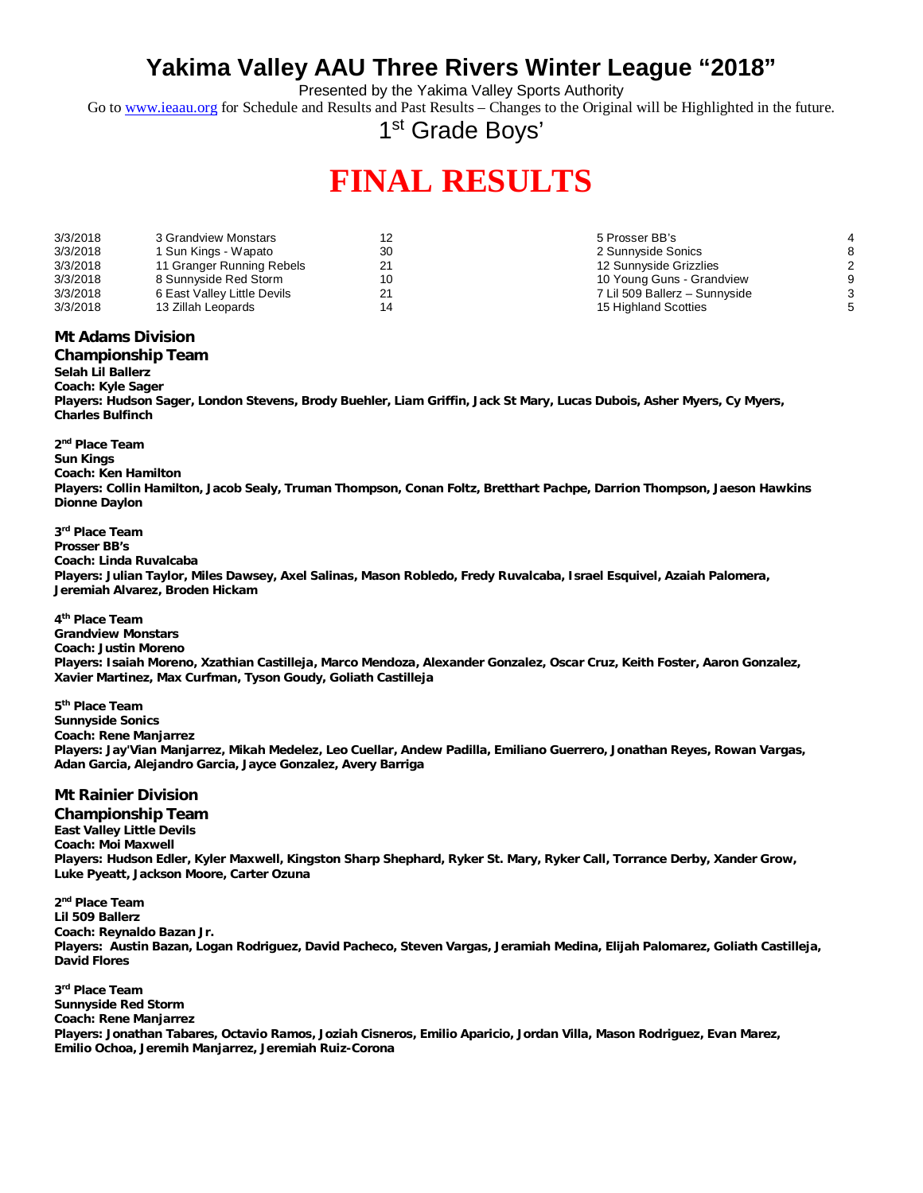## **Yakima Valley AAU Three Rivers Winter League "2018"**

Presented by the Yakima Valley Sports Authority

Go to [www.ieaau.org](http://www.ieaau.org) for Schedule and Results and Past Results – Changes to the Original will be Highlighted in the future.

1<sup>st</sup> Grade Boys'

# **FINAL RESULTS**

| 3/3/2018 | 3 Grandview Monstars        |    | 5 Prosser BB's                |   |
|----------|-----------------------------|----|-------------------------------|---|
| 3/3/2018 | 1 Sun Kings - Wapato        | 30 | 2 Sunnyside Sonics            |   |
| 3/3/2018 | 11 Granger Running Rebels   |    | 12 Sunnyside Grizzlies        |   |
| 3/3/2018 | 8 Sunnyside Red Storm       |    | 10 Young Guns - Grandview     |   |
| 3/3/2018 | 6 East Valley Little Devils |    | 7 Lil 509 Ballerz - Sunnyside | ົ |
| 3/3/2018 | 13 Zillah Leopards          |    | 15 Highland Scotties          |   |

### **Mt Adams Division**

### **Championship Team**

**Selah Lil Ballerz Coach: Kyle Sager Players: Hudson Sager, London Stevens, Brody Buehler, Liam Griffin, Jack St Mary, Lucas Dubois, Asher Myers, Cy Myers, Charles Bulfinch**

**2 nd Place Team Sun Kings Coach: Ken Hamilton Players: Collin Hamilton, Jacob Sealy, Truman Thompson, Conan Foltz, Bretthart Pachpe, Darrion Thompson, Jaeson Hawkins Dionne Daylon**

**3 rd Place Team Prosser BB's Coach: Linda Ruvalcaba Players: Julian Taylor, Miles Dawsey, Axel Salinas, Mason Robledo, Fredy Ruvalcaba, Israel Esquivel, Azaiah Palomera, Jeremiah Alvarez, Broden Hickam**

**4 th Place Team Grandview Monstars Coach: Justin Moreno Players: Isaiah Moreno, Xzathian Castilleja, Marco Mendoza, Alexander Gonzalez, Oscar Cruz, Keith Foster, Aaron Gonzalez, Xavier Martinez, Max Curfman, Tyson Goudy, Goliath Castilleja**

**5 th Place Team Sunnyside Sonics Coach: Rene Manjarrez Players: Jay'Vian Manjarrez, Mikah Medelez, Leo Cuellar, Andew Padilla, Emiliano Guerrero, Jonathan Reyes, Rowan Vargas, Adan Garcia, Alejandro Garcia, Jayce Gonzalez, Avery Barriga**

### **Mt Rainier Division**

**Championship Team East Valley Little Devils Coach: Moi Maxwell Players: Hudson Edler, Kyler Maxwell, Kingston Sharp Shephard, Ryker St. Mary, Ryker Call, Torrance Derby, Xander Grow, Luke Pyeatt, Jackson Moore, Carter Ozuna**

**2 nd Place Team Lil 509 Ballerz Coach: Reynaldo Bazan Jr. Players: Austin Bazan, Logan Rodriguez, David Pacheco, Steven Vargas, Jeramiah Medina, Elijah Palomarez, Goliath Castilleja, David Flores**

**3 rd Place Team Sunnyside Red Storm Coach: Rene Manjarrez Players: Jonathan Tabares, Octavio Ramos, Joziah Cisneros, Emilio Aparicio, Jordan Villa, Mason Rodriguez, Evan Marez, Emilio Ochoa, Jeremih Manjarrez, Jeremiah Ruiz-Corona**